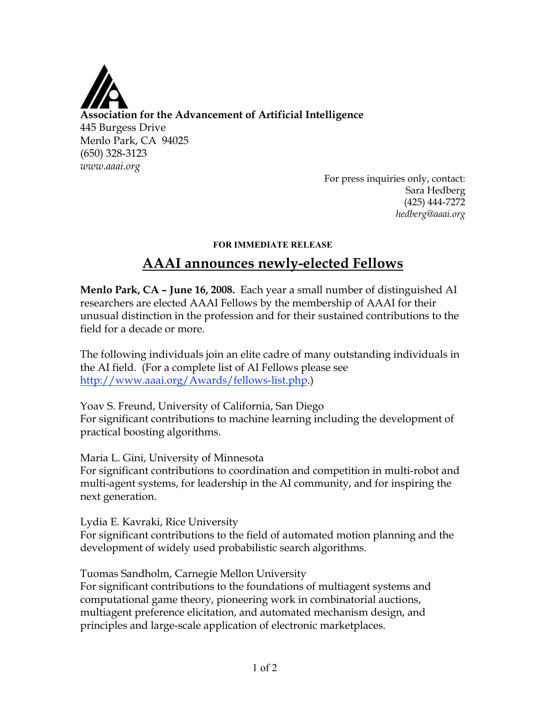

For press inquiries only, contact: Sara Hedberg (425) 444-7272 *hedberg@aaai.org*

## **FOR IMMEDIATE RELEASE**

## **AAAI announces newly-elected Fellows**

**Menlo Park, CA – June 16, 2008.** Each year a small number of distinguished AI researchers are elected AAAI Fellows by the membership of AAAI for their unusual distinction in the profession and for their sustained contributions to the field for a decade or more.

The following individuals join an elite cadre of many outstanding individuals in the AI field. (For a complete list of AI Fellows please see http://www.aaai.org/Awards/fellows-list.php.)

Yoav S. Freund, University of California, San Diego For significant contributions to machine learning including the development of practical boosting algorithms.

Maria L. Gini, University of Minnesota For significant contributions to coordination and competition in multi-robot and multi-agent systems, for leadership in the AI community, and for inspiring the

Lydia E. Kavraki, Rice University For significant contributions to the field of automated motion planning and the development of widely used probabilistic search algorithms.

Tuomas Sandholm, Carnegie Mellon University

next generation.

For significant contributions to the foundations of multiagent systems and computational game theory, pioneering work in combinatorial auctions, multiagent preference elicitation, and automated mechanism design, and principles and large-scale application of electronic marketplaces.